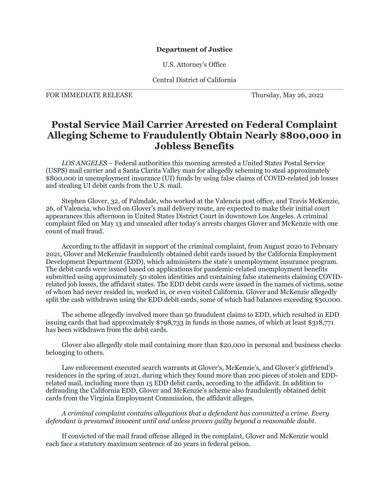#### **Department of Justice**

U.S. Attorney's Office

Central District of California

FOR IMMEDIATE RELEASE Thursday, May 26, 2022

## **Postal Service Mail Carrier Arrested on Federal Complaint Alleging Scheme to Fraudulently Obtain Nearly \$800,000 in Jobless Benefits**

 *LOS ANGELES* – Federal authorities this morning arrested a United States Postal Service (USPS) mail carrier and a Santa Clarita Valley man for allegedly scheming to steal approximately \$800,000 in unemployment insurance (UI) funds by using false claims of COVID-related job losses and stealing UI debit cards from the U.S. mail.

 Stephen Glover, 32, of Palmdale, who worked at the Valencia post office, and Travis McKenzie, 26, of Valencia, who lived on Glover's mail delivery route, are expected to make their initial court appearances this afternoon in United States District Court in downtown Los Angeles. A criminal complaint filed on May 13 and unsealed after today's arrests charges Glover and McKenzie with one count of mail fraud.

 According to the affidavit in support of the criminal complaint, from August 2020 to February 2021, Glover and McKenzie fraudulently obtained debit cards issued by the California Employment Development Department (EDD), which administers the state's unemployment insurance program. The debit cards were issued based on applications for pandemic-related unemployment benefits submitted using approximately 50 stolen identities and containing false statements claiming COVIDrelated job losses, the affidavit states. The EDD debit cards were issued in the names of victims, some of whom had never resided in, worked in, or even visited California. Glover and McKenzie allegedly split the cash withdrawn using the EDD debit cards, some of which had balances exceeding \$30,000.

 The scheme allegedly involved more than 50 fraudulent claims to EDD, which resulted in EDD issuing cards that had approximately \$798,733 in funds in those names, of which at least \$318,771 has been withdrawn from the debit cards.

 Glover also allegedly stole mail containing more than \$20,000 in personal and business checks belonging to others.

 Law enforcement executed search warrants at Glover's, McKenzie's, and Glover's girlfriend's residences in the spring of 2021, during which they found more than 200 pieces of stolen and EDDrelated mail, including more than 15 EDD debit cards, according to the affidavit. In addition to defrauding the California EDD, Glover and McKenzie's scheme also fraudulently obtained debit cards from the Virginia Employment Commission, the affidavit alleges.

 *A criminal complaint contains allegations that a defendant has committed a crime. Every defendant is presumed innocent until and unless proven guilty beyond a reasonable doubt.*

 If convicted of the mail fraud offense alleged in the complaint, Glover and McKenzie would each face a statutory maximum sentence of 20 years in federal prison.